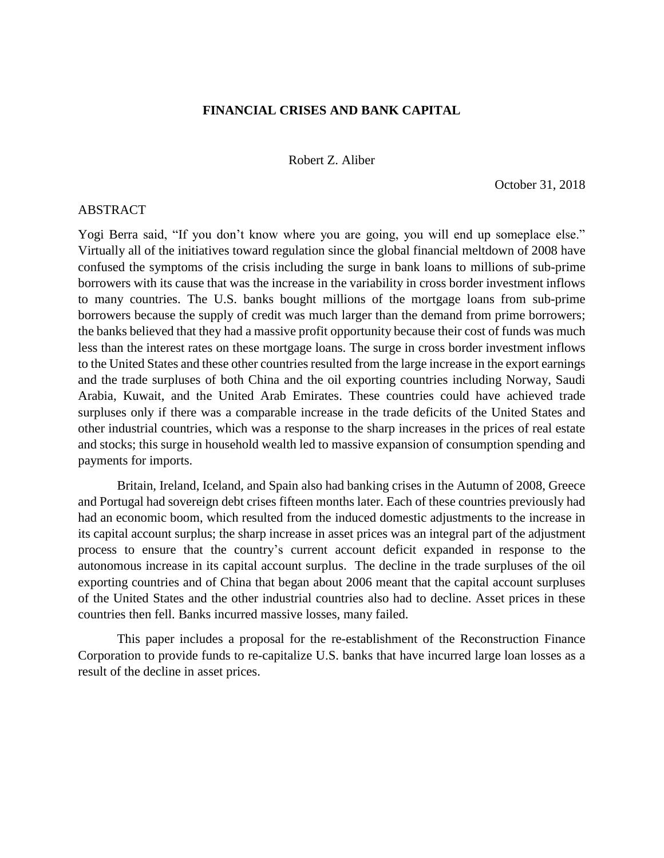## **FINANCIAL CRISES AND BANK CAPITAL**

Robert Z. Aliber

October 31, 2018

## ABSTRACT

Yogi Berra said, "If you don't know where you are going, you will end up someplace else." Virtually all of the initiatives toward regulation since the global financial meltdown of 2008 have confused the symptoms of the crisis including the surge in bank loans to millions of sub-prime borrowers with its cause that was the increase in the variability in cross border investment inflows to many countries. The U.S. banks bought millions of the mortgage loans from sub-prime borrowers because the supply of credit was much larger than the demand from prime borrowers; the banks believed that they had a massive profit opportunity because their cost of funds was much less than the interest rates on these mortgage loans. The surge in cross border investment inflows to the United States and these other countries resulted from the large increase in the export earnings and the trade surpluses of both China and the oil exporting countries including Norway, Saudi Arabia, Kuwait, and the United Arab Emirates. These countries could have achieved trade surpluses only if there was a comparable increase in the trade deficits of the United States and other industrial countries, which was a response to the sharp increases in the prices of real estate and stocks; this surge in household wealth led to massive expansion of consumption spending and payments for imports.

Britain, Ireland, Iceland, and Spain also had banking crises in the Autumn of 2008, Greece and Portugal had sovereign debt crises fifteen months later. Each of these countries previously had had an economic boom, which resulted from the induced domestic adjustments to the increase in its capital account surplus; the sharp increase in asset prices was an integral part of the adjustment process to ensure that the country's current account deficit expanded in response to the autonomous increase in its capital account surplus. The decline in the trade surpluses of the oil exporting countries and of China that began about 2006 meant that the capital account surpluses of the United States and the other industrial countries also had to decline. Asset prices in these countries then fell. Banks incurred massive losses, many failed.

This paper includes a proposal for the re-establishment of the Reconstruction Finance Corporation to provide funds to re-capitalize U.S. banks that have incurred large loan losses as a result of the decline in asset prices.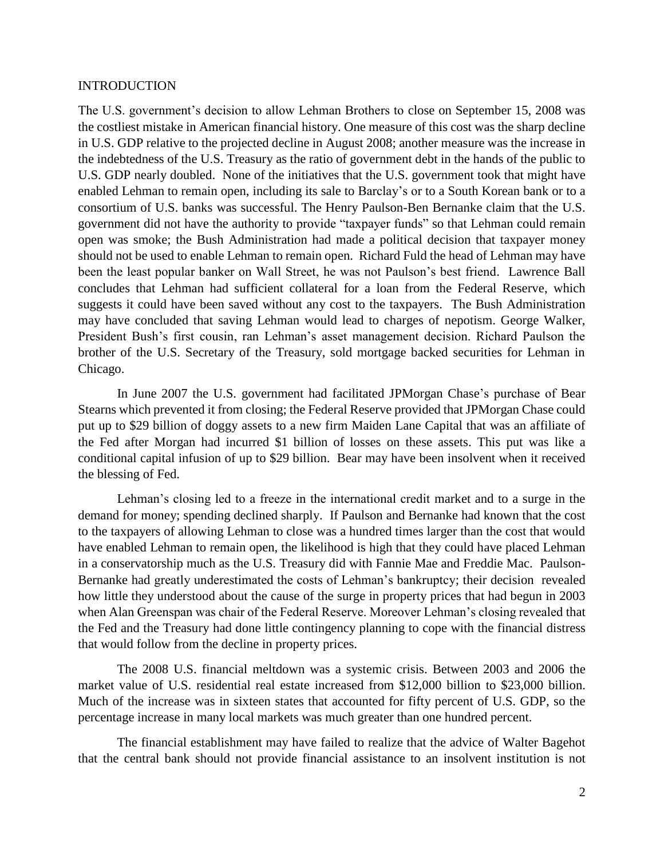## INTRODUCTION

The U.S. government's decision to allow Lehman Brothers to close on September 15, 2008 was the costliest mistake in American financial history. One measure of this cost was the sharp decline in U.S. GDP relative to the projected decline in August 2008; another measure was the increase in the indebtedness of the U.S. Treasury as the ratio of government debt in the hands of the public to U.S. GDP nearly doubled. None of the initiatives that the U.S. government took that might have enabled Lehman to remain open, including its sale to Barclay's or to a South Korean bank or to a consortium of U.S. banks was successful. The Henry Paulson-Ben Bernanke claim that the U.S. government did not have the authority to provide "taxpayer funds" so that Lehman could remain open was smoke; the Bush Administration had made a political decision that taxpayer money should not be used to enable Lehman to remain open. Richard Fuld the head of Lehman may have been the least popular banker on Wall Street, he was not Paulson's best friend. Lawrence Ball concludes that Lehman had sufficient collateral for a loan from the Federal Reserve, which suggests it could have been saved without any cost to the taxpayers. The Bush Administration may have concluded that saving Lehman would lead to charges of nepotism. George Walker, President Bush's first cousin, ran Lehman's asset management decision. Richard Paulson the brother of the U.S. Secretary of the Treasury, sold mortgage backed securities for Lehman in Chicago.

In June 2007 the U.S. government had facilitated JPMorgan Chase's purchase of Bear Stearns which prevented it from closing; the Federal Reserve provided that JPMorgan Chase could put up to \$29 billion of doggy assets to a new firm Maiden Lane Capital that was an affiliate of the Fed after Morgan had incurred \$1 billion of losses on these assets. This put was like a conditional capital infusion of up to \$29 billion. Bear may have been insolvent when it received the blessing of Fed.

Lehman's closing led to a freeze in the international credit market and to a surge in the demand for money; spending declined sharply. If Paulson and Bernanke had known that the cost to the taxpayers of allowing Lehman to close was a hundred times larger than the cost that would have enabled Lehman to remain open, the likelihood is high that they could have placed Lehman in a conservatorship much as the U.S. Treasury did with Fannie Mae and Freddie Mac. Paulson-Bernanke had greatly underestimated the costs of Lehman's bankruptcy; their decision revealed how little they understood about the cause of the surge in property prices that had begun in 2003 when Alan Greenspan was chair of the Federal Reserve. Moreover Lehman's closing revealed that the Fed and the Treasury had done little contingency planning to cope with the financial distress that would follow from the decline in property prices.

The 2008 U.S. financial meltdown was a systemic crisis. Between 2003 and 2006 the market value of U.S. residential real estate increased from \$12,000 billion to \$23,000 billion. Much of the increase was in sixteen states that accounted for fifty percent of U.S. GDP, so the percentage increase in many local markets was much greater than one hundred percent.

The financial establishment may have failed to realize that the advice of Walter Bagehot that the central bank should not provide financial assistance to an insolvent institution is not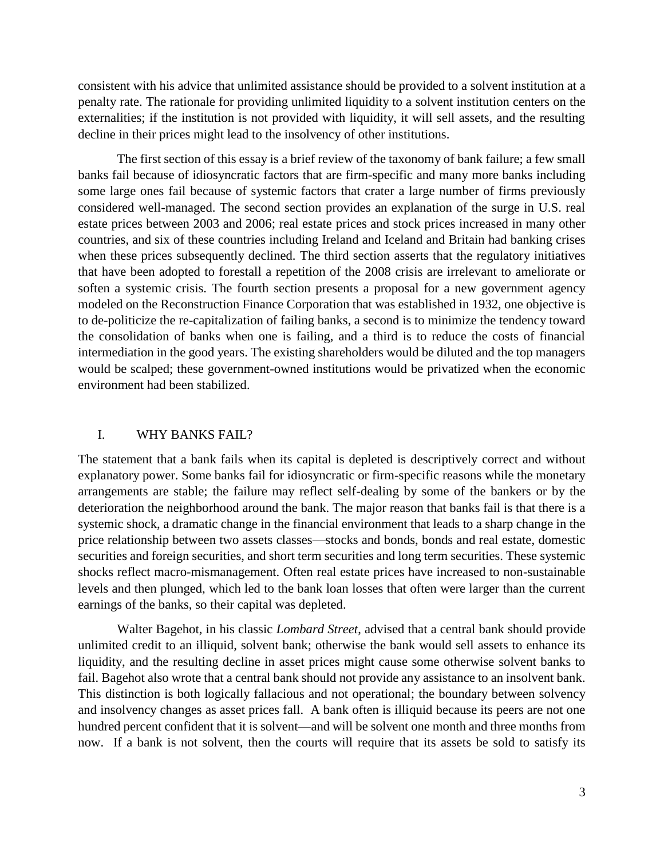consistent with his advice that unlimited assistance should be provided to a solvent institution at a penalty rate. The rationale for providing unlimited liquidity to a solvent institution centers on the externalities; if the institution is not provided with liquidity, it will sell assets, and the resulting decline in their prices might lead to the insolvency of other institutions.

The first section of this essay is a brief review of the taxonomy of bank failure; a few small banks fail because of idiosyncratic factors that are firm-specific and many more banks including some large ones fail because of systemic factors that crater a large number of firms previously considered well-managed. The second section provides an explanation of the surge in U.S. real estate prices between 2003 and 2006; real estate prices and stock prices increased in many other countries, and six of these countries including Ireland and Iceland and Britain had banking crises when these prices subsequently declined. The third section asserts that the regulatory initiatives that have been adopted to forestall a repetition of the 2008 crisis are irrelevant to ameliorate or soften a systemic crisis. The fourth section presents a proposal for a new government agency modeled on the Reconstruction Finance Corporation that was established in 1932, one objective is to de-politicize the re-capitalization of failing banks, a second is to minimize the tendency toward the consolidation of banks when one is failing, and a third is to reduce the costs of financial intermediation in the good years. The existing shareholders would be diluted and the top managers would be scalped; these government-owned institutions would be privatized when the economic environment had been stabilized.

# I. WHY BANKS FAIL?

The statement that a bank fails when its capital is depleted is descriptively correct and without explanatory power. Some banks fail for idiosyncratic or firm-specific reasons while the monetary arrangements are stable; the failure may reflect self-dealing by some of the bankers or by the deterioration the neighborhood around the bank. The major reason that banks fail is that there is a systemic shock, a dramatic change in the financial environment that leads to a sharp change in the price relationship between two assets classes—stocks and bonds, bonds and real estate, domestic securities and foreign securities, and short term securities and long term securities. These systemic shocks reflect macro-mismanagement. Often real estate prices have increased to non-sustainable levels and then plunged, which led to the bank loan losses that often were larger than the current earnings of the banks, so their capital was depleted.

Walter Bagehot, in his classic *Lombard Street*, advised that a central bank should provide unlimited credit to an illiquid, solvent bank; otherwise the bank would sell assets to enhance its liquidity, and the resulting decline in asset prices might cause some otherwise solvent banks to fail. Bagehot also wrote that a central bank should not provide any assistance to an insolvent bank. This distinction is both logically fallacious and not operational; the boundary between solvency and insolvency changes as asset prices fall. A bank often is illiquid because its peers are not one hundred percent confident that it is solvent—and will be solvent one month and three months from now. If a bank is not solvent, then the courts will require that its assets be sold to satisfy its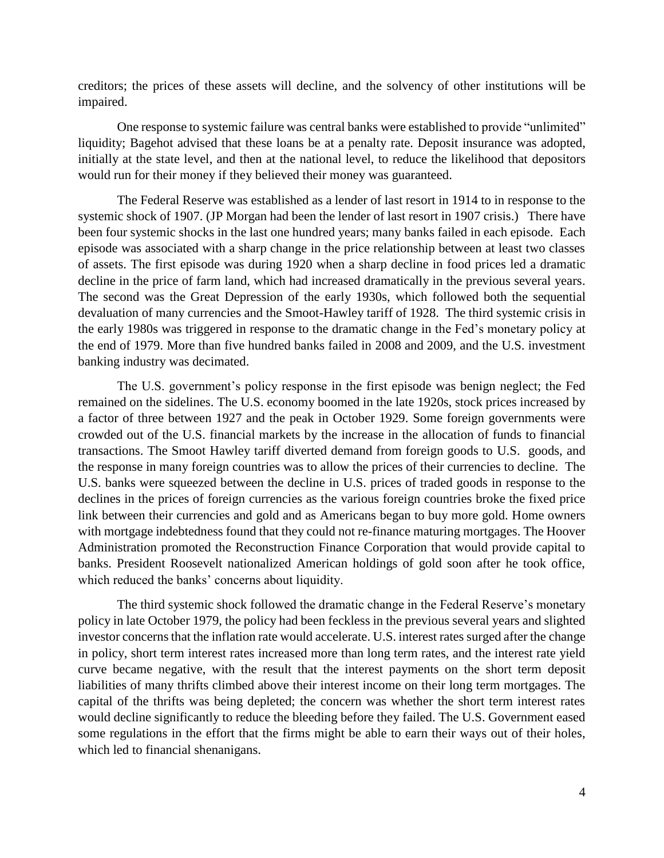creditors; the prices of these assets will decline, and the solvency of other institutions will be impaired.

One response to systemic failure was central banks were established to provide "unlimited" liquidity; Bagehot advised that these loans be at a penalty rate. Deposit insurance was adopted, initially at the state level, and then at the national level, to reduce the likelihood that depositors would run for their money if they believed their money was guaranteed.

The Federal Reserve was established as a lender of last resort in 1914 to in response to the systemic shock of 1907. (JP Morgan had been the lender of last resort in 1907 crisis.) There have been four systemic shocks in the last one hundred years; many banks failed in each episode. Each episode was associated with a sharp change in the price relationship between at least two classes of assets. The first episode was during 1920 when a sharp decline in food prices led a dramatic decline in the price of farm land, which had increased dramatically in the previous several years. The second was the Great Depression of the early 1930s, which followed both the sequential devaluation of many currencies and the Smoot-Hawley tariff of 1928. The third systemic crisis in the early 1980s was triggered in response to the dramatic change in the Fed's monetary policy at the end of 1979. More than five hundred banks failed in 2008 and 2009, and the U.S. investment banking industry was decimated.

The U.S. government's policy response in the first episode was benign neglect; the Fed remained on the sidelines. The U.S. economy boomed in the late 1920s, stock prices increased by a factor of three between 1927 and the peak in October 1929. Some foreign governments were crowded out of the U.S. financial markets by the increase in the allocation of funds to financial transactions. The Smoot Hawley tariff diverted demand from foreign goods to U.S. goods, and the response in many foreign countries was to allow the prices of their currencies to decline. The U.S. banks were squeezed between the decline in U.S. prices of traded goods in response to the declines in the prices of foreign currencies as the various foreign countries broke the fixed price link between their currencies and gold and as Americans began to buy more gold. Home owners with mortgage indebtedness found that they could not re-finance maturing mortgages. The Hoover Administration promoted the Reconstruction Finance Corporation that would provide capital to banks. President Roosevelt nationalized American holdings of gold soon after he took office, which reduced the banks' concerns about liquidity.

The third systemic shock followed the dramatic change in the Federal Reserve's monetary policy in late October 1979, the policy had been feckless in the previous several years and slighted investor concerns that the inflation rate would accelerate. U.S. interest rates surged after the change in policy, short term interest rates increased more than long term rates, and the interest rate yield curve became negative, with the result that the interest payments on the short term deposit liabilities of many thrifts climbed above their interest income on their long term mortgages. The capital of the thrifts was being depleted; the concern was whether the short term interest rates would decline significantly to reduce the bleeding before they failed. The U.S. Government eased some regulations in the effort that the firms might be able to earn their ways out of their holes, which led to financial shenanigans.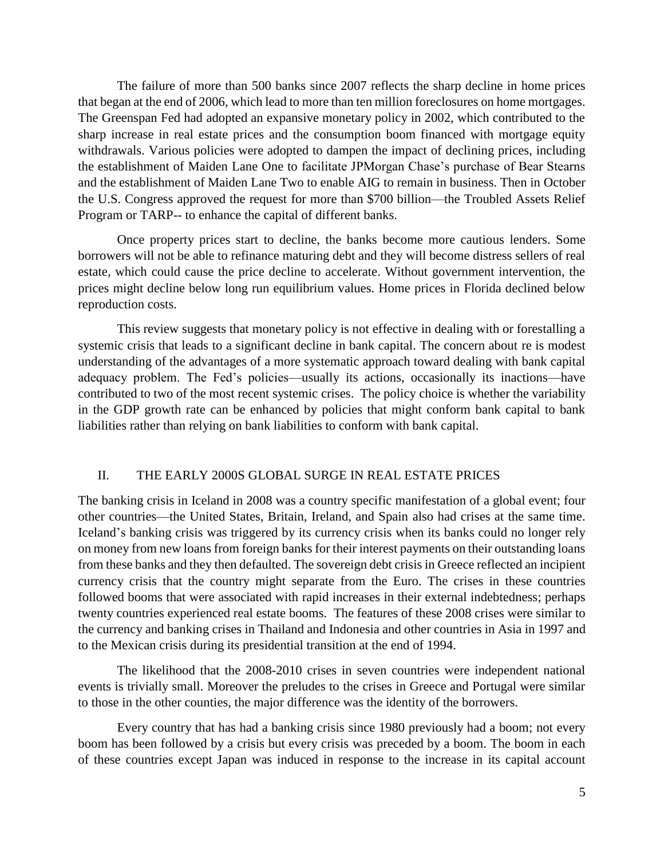The failure of more than 500 banks since 2007 reflects the sharp decline in home prices that began at the end of 2006, which lead to more than ten million foreclosures on home mortgages. The Greenspan Fed had adopted an expansive monetary policy in 2002, which contributed to the sharp increase in real estate prices and the consumption boom financed with mortgage equity withdrawals. Various policies were adopted to dampen the impact of declining prices, including the establishment of Maiden Lane One to facilitate JPMorgan Chase's purchase of Bear Stearns and the establishment of Maiden Lane Two to enable AIG to remain in business. Then in October the U.S. Congress approved the request for more than \$700 billion—the Troubled Assets Relief Program or TARP-- to enhance the capital of different banks.

Once property prices start to decline, the banks become more cautious lenders. Some borrowers will not be able to refinance maturing debt and they will become distress sellers of real estate, which could cause the price decline to accelerate. Without government intervention, the prices might decline below long run equilibrium values. Home prices in Florida declined below reproduction costs.

This review suggests that monetary policy is not effective in dealing with or forestalling a systemic crisis that leads to a significant decline in bank capital. The concern about re is modest understanding of the advantages of a more systematic approach toward dealing with bank capital adequacy problem. The Fed's policies—usually its actions, occasionally its inactions—have contributed to two of the most recent systemic crises. The policy choice is whether the variability in the GDP growth rate can be enhanced by policies that might conform bank capital to bank liabilities rather than relying on bank liabilities to conform with bank capital.

#### II. THE EARLY 2000S GLOBAL SURGE IN REAL ESTATE PRICES

The banking crisis in Iceland in 2008 was a country specific manifestation of a global event; four other countries—the United States, Britain, Ireland, and Spain also had crises at the same time. Iceland's banking crisis was triggered by its currency crisis when its banks could no longer rely on money from new loans from foreign banks for their interest payments on their outstanding loans from these banks and they then defaulted. The sovereign debt crisis in Greece reflected an incipient currency crisis that the country might separate from the Euro. The crises in these countries followed booms that were associated with rapid increases in their external indebtedness; perhaps twenty countries experienced real estate booms. The features of these 2008 crises were similar to the currency and banking crises in Thailand and Indonesia and other countries in Asia in 1997 and to the Mexican crisis during its presidential transition at the end of 1994.

The likelihood that the 2008-2010 crises in seven countries were independent national events is trivially small. Moreover the preludes to the crises in Greece and Portugal were similar to those in the other counties, the major difference was the identity of the borrowers.

Every country that has had a banking crisis since 1980 previously had a boom; not every boom has been followed by a crisis but every crisis was preceded by a boom. The boom in each of these countries except Japan was induced in response to the increase in its capital account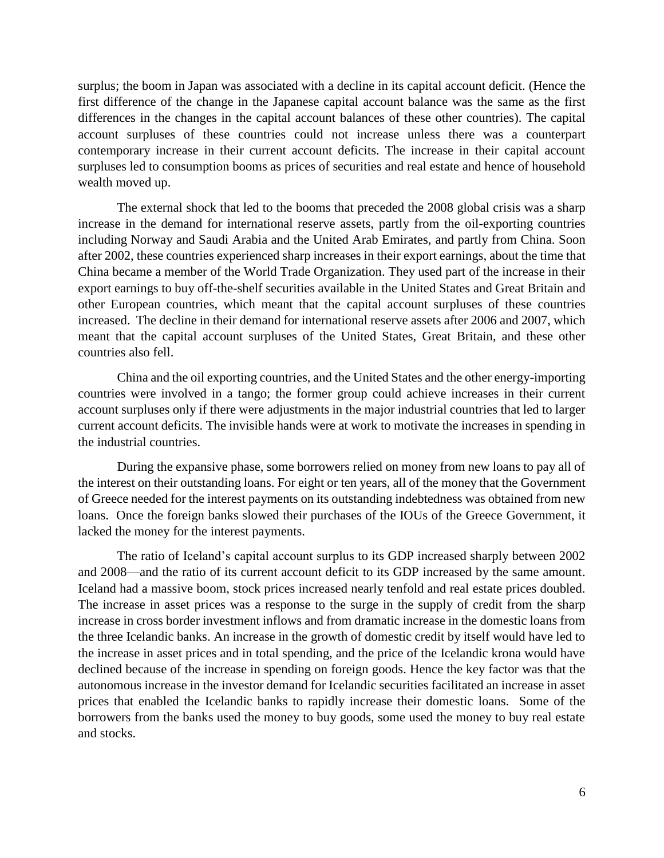surplus; the boom in Japan was associated with a decline in its capital account deficit. (Hence the first difference of the change in the Japanese capital account balance was the same as the first differences in the changes in the capital account balances of these other countries). The capital account surpluses of these countries could not increase unless there was a counterpart contemporary increase in their current account deficits. The increase in their capital account surpluses led to consumption booms as prices of securities and real estate and hence of household wealth moved up.

The external shock that led to the booms that preceded the 2008 global crisis was a sharp increase in the demand for international reserve assets, partly from the oil-exporting countries including Norway and Saudi Arabia and the United Arab Emirates, and partly from China. Soon after 2002, these countries experienced sharp increases in their export earnings, about the time that China became a member of the World Trade Organization. They used part of the increase in their export earnings to buy off-the-shelf securities available in the United States and Great Britain and other European countries, which meant that the capital account surpluses of these countries increased. The decline in their demand for international reserve assets after 2006 and 2007, which meant that the capital account surpluses of the United States, Great Britain, and these other countries also fell.

China and the oil exporting countries, and the United States and the other energy-importing countries were involved in a tango; the former group could achieve increases in their current account surpluses only if there were adjustments in the major industrial countries that led to larger current account deficits. The invisible hands were at work to motivate the increases in spending in the industrial countries.

During the expansive phase, some borrowers relied on money from new loans to pay all of the interest on their outstanding loans. For eight or ten years, all of the money that the Government of Greece needed for the interest payments on its outstanding indebtedness was obtained from new loans. Once the foreign banks slowed their purchases of the IOUs of the Greece Government, it lacked the money for the interest payments.

The ratio of Iceland's capital account surplus to its GDP increased sharply between 2002 and 2008—and the ratio of its current account deficit to its GDP increased by the same amount. Iceland had a massive boom, stock prices increased nearly tenfold and real estate prices doubled. The increase in asset prices was a response to the surge in the supply of credit from the sharp increase in cross border investment inflows and from dramatic increase in the domestic loans from the three Icelandic banks. An increase in the growth of domestic credit by itself would have led to the increase in asset prices and in total spending, and the price of the Icelandic krona would have declined because of the increase in spending on foreign goods. Hence the key factor was that the autonomous increase in the investor demand for Icelandic securities facilitated an increase in asset prices that enabled the Icelandic banks to rapidly increase their domestic loans. Some of the borrowers from the banks used the money to buy goods, some used the money to buy real estate and stocks.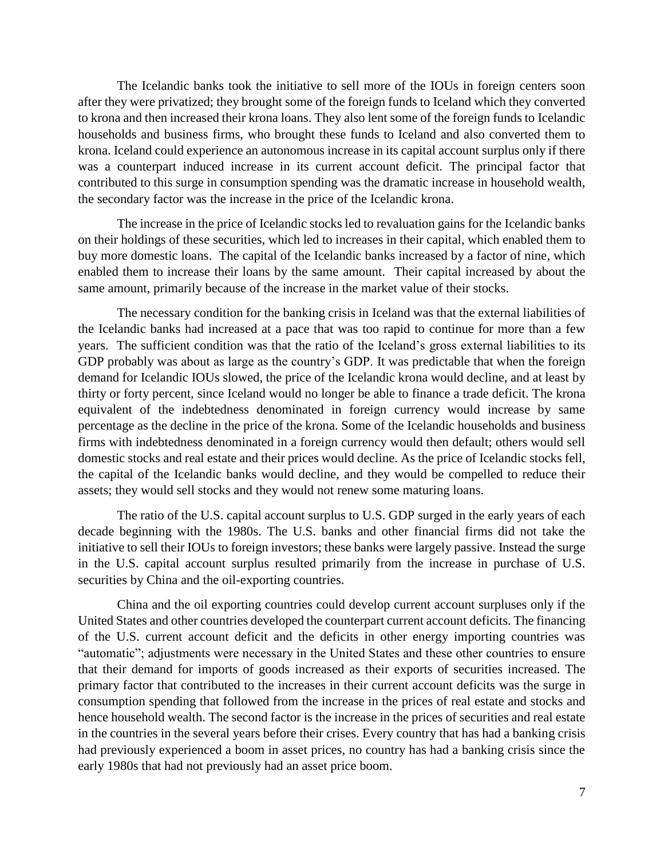The Icelandic banks took the initiative to sell more of the IOUs in foreign centers soon after they were privatized; they brought some of the foreign funds to Iceland which they converted to krona and then increased their krona loans. They also lent some of the foreign funds to Icelandic households and business firms, who brought these funds to Iceland and also converted them to krona. Iceland could experience an autonomous increase in its capital account surplus only if there was a counterpart induced increase in its current account deficit. The principal factor that contributed to this surge in consumption spending was the dramatic increase in household wealth, the secondary factor was the increase in the price of the Icelandic krona.

The increase in the price of Icelandic stocks led to revaluation gains for the Icelandic banks on their holdings of these securities, which led to increases in their capital, which enabled them to buy more domestic loans. The capital of the Icelandic banks increased by a factor of nine, which enabled them to increase their loans by the same amount. Their capital increased by about the same amount, primarily because of the increase in the market value of their stocks.

The necessary condition for the banking crisis in Iceland was that the external liabilities of the Icelandic banks had increased at a pace that was too rapid to continue for more than a few years. The sufficient condition was that the ratio of the Iceland's gross external liabilities to its GDP probably was about as large as the country's GDP. It was predictable that when the foreign demand for Icelandic IOUs slowed, the price of the Icelandic krona would decline, and at least by thirty or forty percent, since Iceland would no longer be able to finance a trade deficit. The krona equivalent of the indebtedness denominated in foreign currency would increase by same percentage as the decline in the price of the krona. Some of the Icelandic households and business firms with indebtedness denominated in a foreign currency would then default; others would sell domestic stocks and real estate and their prices would decline. As the price of Icelandic stocks fell, the capital of the Icelandic banks would decline, and they would be compelled to reduce their assets; they would sell stocks and they would not renew some maturing loans.

The ratio of the U.S. capital account surplus to U.S. GDP surged in the early years of each decade beginning with the 1980s. The U.S. banks and other financial firms did not take the initiative to sell their IOUs to foreign investors; these banks were largely passive. Instead the surge in the U.S. capital account surplus resulted primarily from the increase in purchase of U.S. securities by China and the oil-exporting countries.

China and the oil exporting countries could develop current account surpluses only if the United States and other countries developed the counterpart current account deficits. The financing of the U.S. current account deficit and the deficits in other energy importing countries was "automatic"; adjustments were necessary in the United States and these other countries to ensure that their demand for imports of goods increased as their exports of securities increased. The primary factor that contributed to the increases in their current account deficits was the surge in consumption spending that followed from the increase in the prices of real estate and stocks and hence household wealth. The second factor is the increase in the prices of securities and real estate in the countries in the several years before their crises. Every country that has had a banking crisis had previously experienced a boom in asset prices, no country has had a banking crisis since the early 1980s that had not previously had an asset price boom.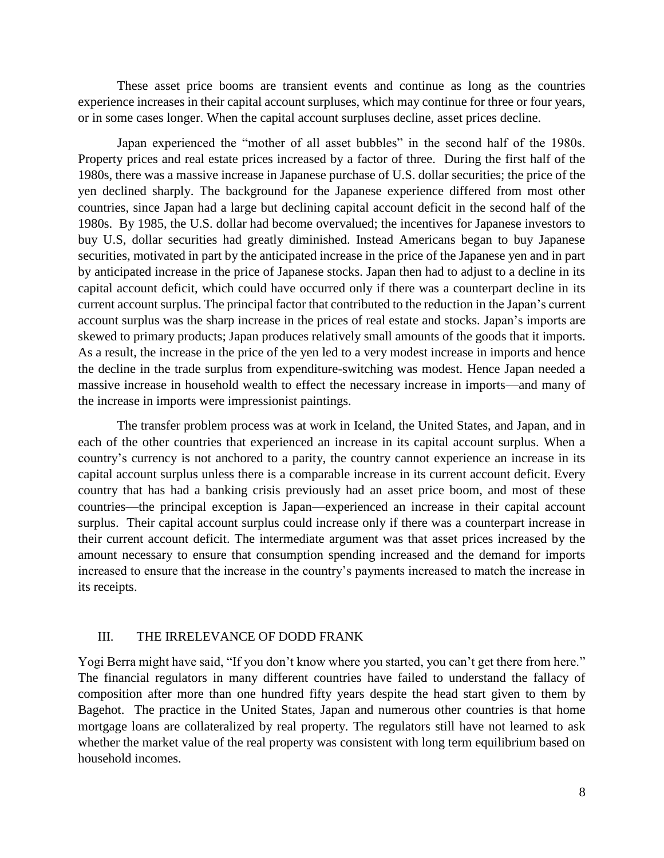These asset price booms are transient events and continue as long as the countries experience increases in their capital account surpluses, which may continue for three or four years, or in some cases longer. When the capital account surpluses decline, asset prices decline.

Japan experienced the "mother of all asset bubbles" in the second half of the 1980s. Property prices and real estate prices increased by a factor of three. During the first half of the 1980s, there was a massive increase in Japanese purchase of U.S. dollar securities; the price of the yen declined sharply. The background for the Japanese experience differed from most other countries, since Japan had a large but declining capital account deficit in the second half of the 1980s. By 1985, the U.S. dollar had become overvalued; the incentives for Japanese investors to buy U.S, dollar securities had greatly diminished. Instead Americans began to buy Japanese securities, motivated in part by the anticipated increase in the price of the Japanese yen and in part by anticipated increase in the price of Japanese stocks. Japan then had to adjust to a decline in its capital account deficit, which could have occurred only if there was a counterpart decline in its current account surplus. The principal factor that contributed to the reduction in the Japan's current account surplus was the sharp increase in the prices of real estate and stocks. Japan's imports are skewed to primary products; Japan produces relatively small amounts of the goods that it imports. As a result, the increase in the price of the yen led to a very modest increase in imports and hence the decline in the trade surplus from expenditure-switching was modest. Hence Japan needed a massive increase in household wealth to effect the necessary increase in imports—and many of the increase in imports were impressionist paintings.

The transfer problem process was at work in Iceland, the United States, and Japan, and in each of the other countries that experienced an increase in its capital account surplus. When a country's currency is not anchored to a parity, the country cannot experience an increase in its capital account surplus unless there is a comparable increase in its current account deficit. Every country that has had a banking crisis previously had an asset price boom, and most of these countries—the principal exception is Japan—experienced an increase in their capital account surplus. Their capital account surplus could increase only if there was a counterpart increase in their current account deficit. The intermediate argument was that asset prices increased by the amount necessary to ensure that consumption spending increased and the demand for imports increased to ensure that the increase in the country's payments increased to match the increase in its receipts.

# III. THE IRRELEVANCE OF DODD FRANK

Yogi Berra might have said, "If you don't know where you started, you can't get there from here." The financial regulators in many different countries have failed to understand the fallacy of composition after more than one hundred fifty years despite the head start given to them by Bagehot. The practice in the United States, Japan and numerous other countries is that home mortgage loans are collateralized by real property. The regulators still have not learned to ask whether the market value of the real property was consistent with long term equilibrium based on household incomes.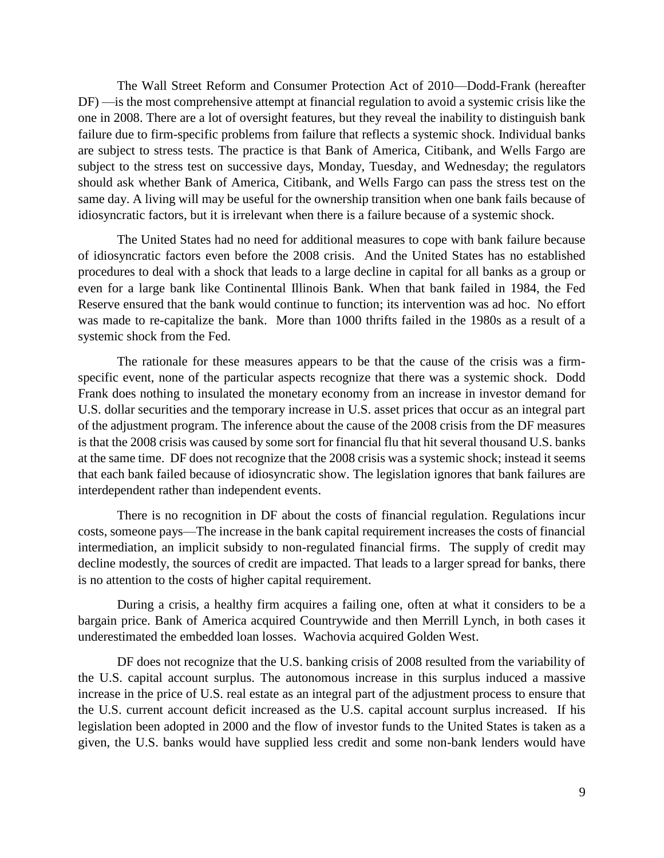The Wall Street Reform and Consumer Protection Act of 2010—Dodd-Frank (hereafter DF) —is the most comprehensive attempt at financial regulation to avoid a systemic crisis like the one in 2008. There are a lot of oversight features, but they reveal the inability to distinguish bank failure due to firm-specific problems from failure that reflects a systemic shock. Individual banks are subject to stress tests. The practice is that Bank of America, Citibank, and Wells Fargo are subject to the stress test on successive days, Monday, Tuesday, and Wednesday; the regulators should ask whether Bank of America, Citibank, and Wells Fargo can pass the stress test on the same day. A living will may be useful for the ownership transition when one bank fails because of idiosyncratic factors, but it is irrelevant when there is a failure because of a systemic shock.

The United States had no need for additional measures to cope with bank failure because of idiosyncratic factors even before the 2008 crisis. And the United States has no established procedures to deal with a shock that leads to a large decline in capital for all banks as a group or even for a large bank like Continental Illinois Bank. When that bank failed in 1984, the Fed Reserve ensured that the bank would continue to function; its intervention was ad hoc. No effort was made to re-capitalize the bank. More than 1000 thrifts failed in the 1980s as a result of a systemic shock from the Fed.

The rationale for these measures appears to be that the cause of the crisis was a firmspecific event, none of the particular aspects recognize that there was a systemic shock. Dodd Frank does nothing to insulated the monetary economy from an increase in investor demand for U.S. dollar securities and the temporary increase in U.S. asset prices that occur as an integral part of the adjustment program. The inference about the cause of the 2008 crisis from the DF measures is that the 2008 crisis was caused by some sort for financial flu that hit several thousand U.S. banks at the same time. DF does not recognize that the 2008 crisis was a systemic shock; instead it seems that each bank failed because of idiosyncratic show. The legislation ignores that bank failures are interdependent rather than independent events.

There is no recognition in DF about the costs of financial regulation. Regulations incur costs, someone pays—The increase in the bank capital requirement increases the costs of financial intermediation, an implicit subsidy to non-regulated financial firms. The supply of credit may decline modestly, the sources of credit are impacted. That leads to a larger spread for banks, there is no attention to the costs of higher capital requirement.

During a crisis, a healthy firm acquires a failing one, often at what it considers to be a bargain price. Bank of America acquired Countrywide and then Merrill Lynch, in both cases it underestimated the embedded loan losses. Wachovia acquired Golden West.

DF does not recognize that the U.S. banking crisis of 2008 resulted from the variability of the U.S. capital account surplus. The autonomous increase in this surplus induced a massive increase in the price of U.S. real estate as an integral part of the adjustment process to ensure that the U.S. current account deficit increased as the U.S. capital account surplus increased. If his legislation been adopted in 2000 and the flow of investor funds to the United States is taken as a given, the U.S. banks would have supplied less credit and some non-bank lenders would have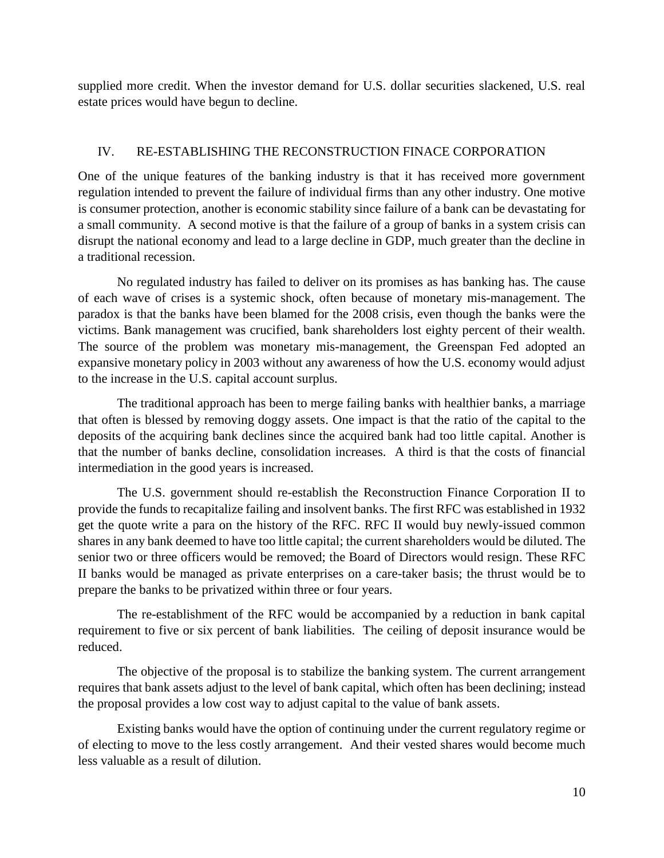supplied more credit. When the investor demand for U.S. dollar securities slackened, U.S. real estate prices would have begun to decline.

# IV. RE-ESTABLISHING THE RECONSTRUCTION FINACE CORPORATION

One of the unique features of the banking industry is that it has received more government regulation intended to prevent the failure of individual firms than any other industry. One motive is consumer protection, another is economic stability since failure of a bank can be devastating for a small community. A second motive is that the failure of a group of banks in a system crisis can disrupt the national economy and lead to a large decline in GDP, much greater than the decline in a traditional recession.

No regulated industry has failed to deliver on its promises as has banking has. The cause of each wave of crises is a systemic shock, often because of monetary mis-management. The paradox is that the banks have been blamed for the 2008 crisis, even though the banks were the victims. Bank management was crucified, bank shareholders lost eighty percent of their wealth. The source of the problem was monetary mis-management, the Greenspan Fed adopted an expansive monetary policy in 2003 without any awareness of how the U.S. economy would adjust to the increase in the U.S. capital account surplus.

The traditional approach has been to merge failing banks with healthier banks, a marriage that often is blessed by removing doggy assets. One impact is that the ratio of the capital to the deposits of the acquiring bank declines since the acquired bank had too little capital. Another is that the number of banks decline, consolidation increases. A third is that the costs of financial intermediation in the good years is increased.

The U.S. government should re-establish the Reconstruction Finance Corporation II to provide the funds to recapitalize failing and insolvent banks. The first RFC was established in 1932 get the quote write a para on the history of the RFC. RFC II would buy newly-issued common shares in any bank deemed to have too little capital; the current shareholders would be diluted. The senior two or three officers would be removed; the Board of Directors would resign. These RFC II banks would be managed as private enterprises on a care-taker basis; the thrust would be to prepare the banks to be privatized within three or four years.

The re-establishment of the RFC would be accompanied by a reduction in bank capital requirement to five or six percent of bank liabilities. The ceiling of deposit insurance would be reduced.

The objective of the proposal is to stabilize the banking system. The current arrangement requires that bank assets adjust to the level of bank capital, which often has been declining; instead the proposal provides a low cost way to adjust capital to the value of bank assets.

Existing banks would have the option of continuing under the current regulatory regime or of electing to move to the less costly arrangement. And their vested shares would become much less valuable as a result of dilution.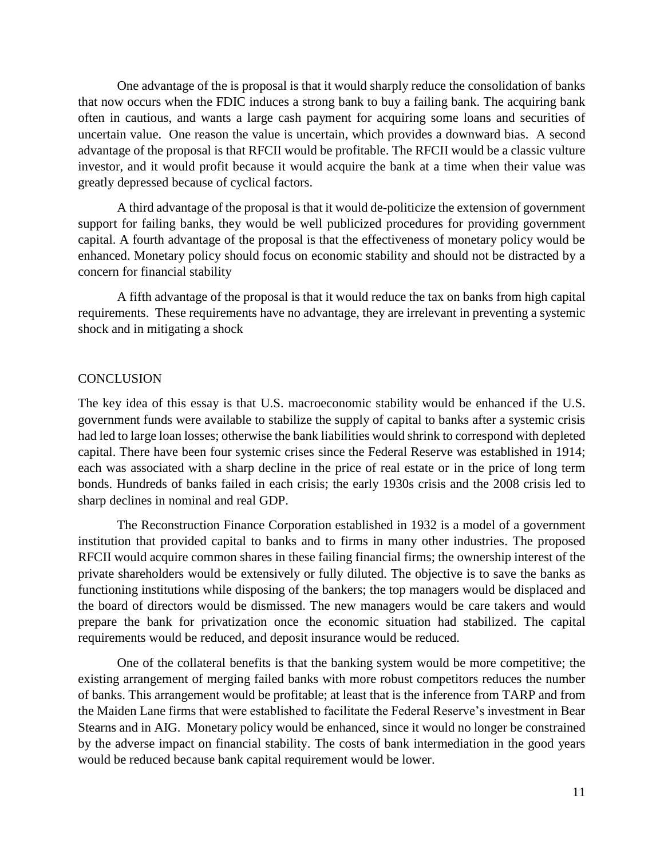One advantage of the is proposal is that it would sharply reduce the consolidation of banks that now occurs when the FDIC induces a strong bank to buy a failing bank. The acquiring bank often in cautious, and wants a large cash payment for acquiring some loans and securities of uncertain value. One reason the value is uncertain, which provides a downward bias. A second advantage of the proposal is that RFCII would be profitable. The RFCII would be a classic vulture investor, and it would profit because it would acquire the bank at a time when their value was greatly depressed because of cyclical factors.

A third advantage of the proposal is that it would de-politicize the extension of government support for failing banks, they would be well publicized procedures for providing government capital. A fourth advantage of the proposal is that the effectiveness of monetary policy would be enhanced. Monetary policy should focus on economic stability and should not be distracted by a concern for financial stability

A fifth advantage of the proposal is that it would reduce the tax on banks from high capital requirements. These requirements have no advantage, they are irrelevant in preventing a systemic shock and in mitigating a shock

## **CONCLUSION**

The key idea of this essay is that U.S. macroeconomic stability would be enhanced if the U.S. government funds were available to stabilize the supply of capital to banks after a systemic crisis had led to large loan losses; otherwise the bank liabilities would shrink to correspond with depleted capital. There have been four systemic crises since the Federal Reserve was established in 1914; each was associated with a sharp decline in the price of real estate or in the price of long term bonds. Hundreds of banks failed in each crisis; the early 1930s crisis and the 2008 crisis led to sharp declines in nominal and real GDP.

The Reconstruction Finance Corporation established in 1932 is a model of a government institution that provided capital to banks and to firms in many other industries. The proposed RFCII would acquire common shares in these failing financial firms; the ownership interest of the private shareholders would be extensively or fully diluted. The objective is to save the banks as functioning institutions while disposing of the bankers; the top managers would be displaced and the board of directors would be dismissed. The new managers would be care takers and would prepare the bank for privatization once the economic situation had stabilized. The capital requirements would be reduced, and deposit insurance would be reduced.

One of the collateral benefits is that the banking system would be more competitive; the existing arrangement of merging failed banks with more robust competitors reduces the number of banks. This arrangement would be profitable; at least that is the inference from TARP and from the Maiden Lane firms that were established to facilitate the Federal Reserve's investment in Bear Stearns and in AIG. Monetary policy would be enhanced, since it would no longer be constrained by the adverse impact on financial stability. The costs of bank intermediation in the good years would be reduced because bank capital requirement would be lower.